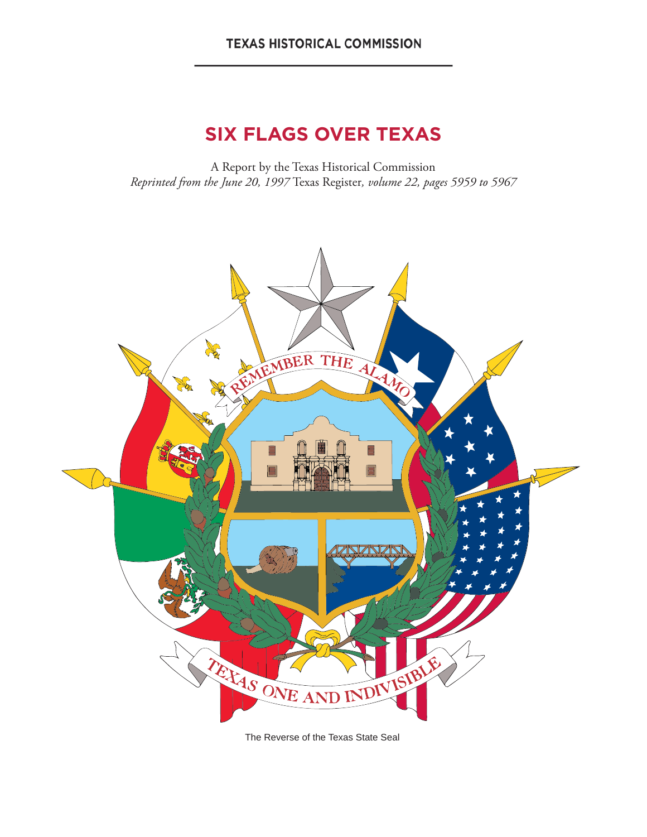#### **TEXAS HISTORICAL COMMISSION**

# **SIX FLAGS OVER TEXAS**

A Report by the Texas Historical Commission *Reprinted from the June 20, 1997* Texas Register*, volume 22, pages 5959 to 5967*



The Reverse of the Texas State Seal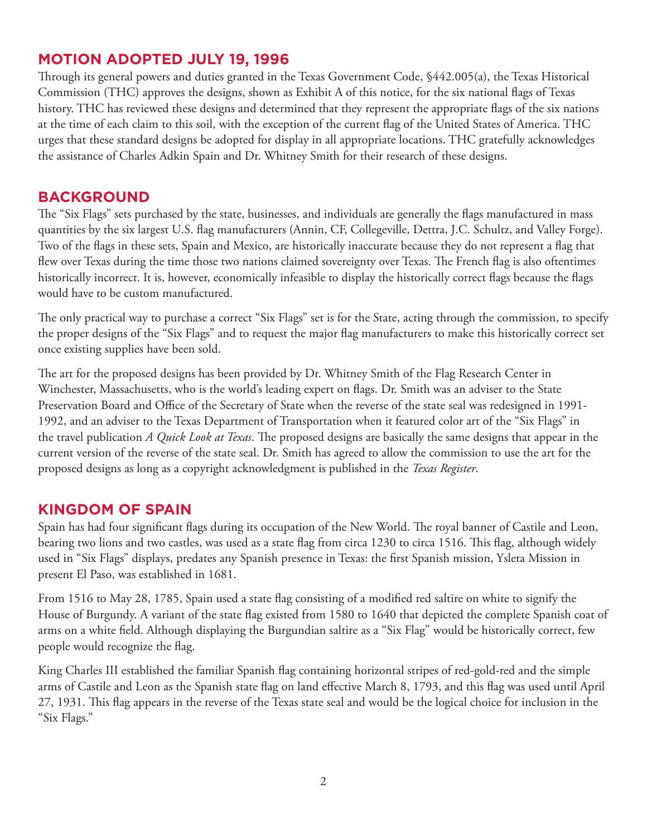# **MOTION ADOPTED JULY 19, 1996**

Through its general powers and duties granted in the Texas Government Code, §442.005(a), the Texas Historical Commission (THC) approves the designs, shown as Exhibit A of this notice, for the six national flags of Texas history. THC has reviewed these designs and determined that they represent the appropriate flags of the six nations at the time of each claim to this soil, with the exception of the current flag of the United States of America. THC urges that these standard designs be adopted for display in all appropriate locations. THC gratefully acknowledges the assistance of Charles Adkin Spain and Dr. Whitney Smith for their research of these designs.

### **BACKGROUND**

The "Six Flags" sets purchased by the state, businesses, and individuals are generally the flags manufactured in mass quantities by the six largest U.S. flag manufacturers (Annin, CF, Collegeville, Dettra, J.C. Schultz, and Valley Forge). Two of the flags in these sets, Spain and Mexico, are historically inaccurate because they do not represent a flag that flew over Texas during the time those two nations claimed sovereignty over Texas. The French flag is also oftentimes historically incorrect. It is, however, economically infeasible to display the historically correct flags because the flags would have to be custom manufactured.

The only practical way to purchase a correct "Six Flags" set is for the State, acting through the commission, to specify the proper designs of the "Six Flags" and to request the major flag manufacturers to make this historically correct set once existing supplies have been sold.

The art for the proposed designs has been provided by Dr. Whitney Smith of the Flag Research Center in Winchester, Massachusetts, who is the world's leading expert on flags. Dr. Smith was an adviser to the State Preservation Board and Office of the Secretary of State when the reverse of the state seal was redesigned in 1991- 1992, and an adviser to the Texas Department of Transportation when it featured color art of the "Six Flags" in the travel publication *A Quick Look at Texas*. The proposed designs are basically the same designs that appear in the current version of the reverse of the state seal. Dr. Smith has agreed to allow the commission to use the art for the proposed designs as long as a copyright acknowledgment is published in the *Texas Register*.

### **KINGDOM OF SPAIN**

Spain has had four significant flags during its occupation of the New World. The royal banner of Castile and Leon, bearing two lions and two castles, was used as a state flag from circa 1230 to circa 1516. This flag, although widely used in "Six Flags" displays, predates any Spanish presence in Texas: the first Spanish mission, Ysleta Mission in present El Paso, was established in 1681.

From 1516 to May 28, 1785, Spain used a state flag consisting of a modified red saltire on white to signify the House of Burgundy. A variant of the state flag existed from 1580 to 1640 that depicted the complete Spanish coat of arms on a white field. Although displaying the Burgundian saltire as a "Six Flag" would be historically correct, few people would recognize the flag.

King Charles III established the familiar Spanish flag containing horizontal stripes of red-gold-red and the simple arms of Castile and Leon as the Spanish state flag on land effective March 8, 1793, and this flag was used until April 27, 1931. This flag appears in the reverse of the Texas state seal and would be the logical choice for inclusion in the "Six Flags."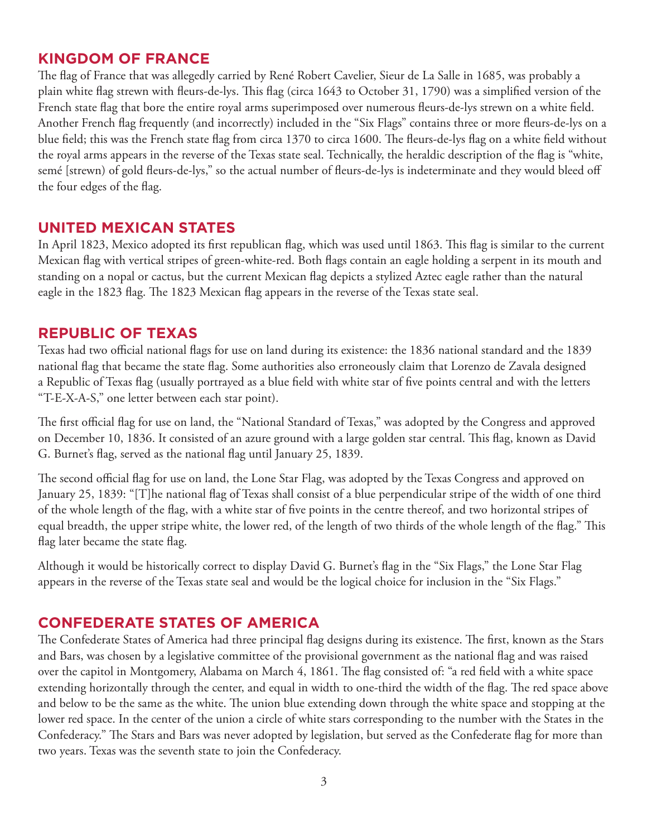#### **KINGDOM OF FRANCE**

The flag of France that was allegedly carried by René Robert Cavelier, Sieur de La Salle in 1685, was probably a plain white flag strewn with fleurs-de-lys. This flag (circa 1643 to October 31, 1790) was a simplified version of the French state flag that bore the entire royal arms superimposed over numerous fleurs-de-lys strewn on a white field. Another French flag frequently (and incorrectly) included in the "Six Flags" contains three or more fleurs-de-lys on a blue field; this was the French state flag from circa 1370 to circa 1600. The fleurs-de-lys flag on a white field without the royal arms appears in the reverse of the Texas state seal. Technically, the heraldic description of the flag is "white, semé [strewn) of gold fleurs-de-lys," so the actual number of fleurs-de-lys is indeterminate and they would bleed off the four edges of the flag.

#### **UNITED MEXICAN STATES**

In April 1823, Mexico adopted its first republican flag, which was used until 1863. This flag is similar to the current Mexican flag with vertical stripes of green-white-red. Both flags contain an eagle holding a serpent in its mouth and standing on a nopal or cactus, but the current Mexican flag depicts a stylized Aztec eagle rather than the natural eagle in the 1823 flag. The 1823 Mexican flag appears in the reverse of the Texas state seal.

#### **REPUBLIC OF TEXAS**

Texas had two official national flags for use on land during its existence: the 1836 national standard and the 1839 national flag that became the state flag. Some authorities also erroneously claim that Lorenzo de Zavala designed a Republic of Texas flag (usually portrayed as a blue field with white star of five points central and with the letters "T-E-X-A-S," one letter between each star point).

The first official flag for use on land, the "National Standard of Texas," was adopted by the Congress and approved on December 10, 1836. It consisted of an azure ground with a large golden star central. This flag, known as David G. Burnet's flag, served as the national flag until January 25, 1839.

The second official flag for use on land, the Lone Star Flag, was adopted by the Texas Congress and approved on January 25, 1839: "[T]he national flag of Texas shall consist of a blue perpendicular stripe of the width of one third of the whole length of the flag, with a white star of five points in the centre thereof, and two horizontal stripes of equal breadth, the upper stripe white, the lower red, of the length of two thirds of the whole length of the flag." This flag later became the state flag.

Although it would be historically correct to display David G. Burnet's flag in the "Six Flags," the Lone Star Flag appears in the reverse of the Texas state seal and would be the logical choice for inclusion in the "Six Flags."

### **CONFEDERATE STATES OF AMERICA**

The Confederate States of America had three principal flag designs during its existence. The first, known as the Stars and Bars, was chosen by a legislative committee of the provisional government as the national flag and was raised over the capitol in Montgomery, Alabama on March 4, 1861. The flag consisted of: "a red field with a white space extending horizontally through the center, and equal in width to one-third the width of the flag. The red space above and below to be the same as the white. The union blue extending down through the white space and stopping at the lower red space. In the center of the union a circle of white stars corresponding to the number with the States in the Confederacy." The Stars and Bars was never adopted by legislation, but served as the Confederate flag for more than two years. Texas was the seventh state to join the Confederacy.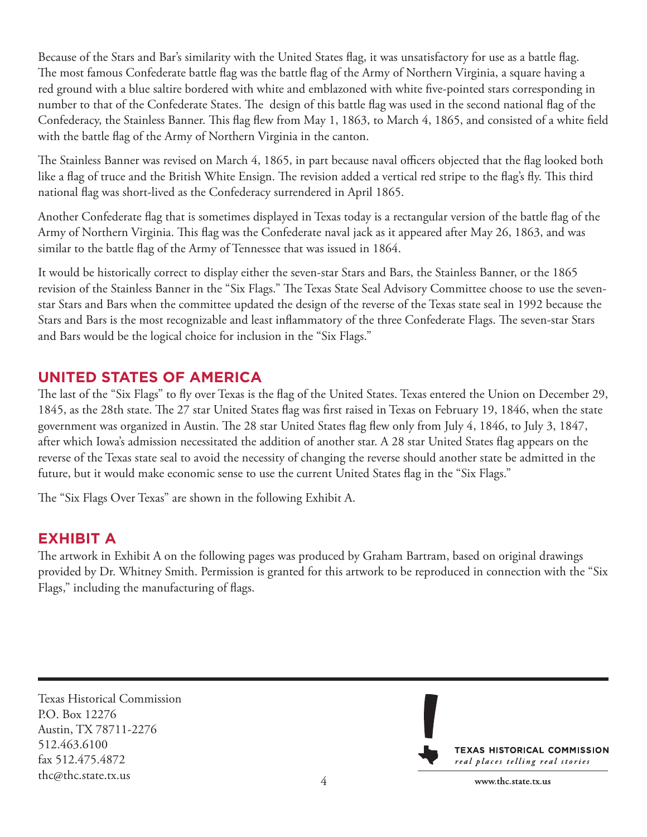Because of the Stars and Bar's similarity with the United States flag, it was unsatisfactory for use as a battle flag. The most famous Confederate battle flag was the battle flag of the Army of Northern Virginia, a square having a red ground with a blue saltire bordered with white and emblazoned with white five-pointed stars corresponding in number to that of the Confederate States. The design of this battle flag was used in the second national flag of the Confederacy, the Stainless Banner. This flag flew from May 1, 1863, to March 4, 1865, and consisted of a white field with the battle flag of the Army of Northern Virginia in the canton.

The Stainless Banner was revised on March 4, 1865, in part because naval officers objected that the flag looked both like a flag of truce and the British White Ensign. The revision added a vertical red stripe to the flag's fly. This third national flag was short-lived as the Confederacy surrendered in April 1865.

Another Confederate flag that is sometimes displayed in Texas today is a rectangular version of the battle flag of the Army of Northern Virginia. This flag was the Confederate naval jack as it appeared after May 26, 1863, and was similar to the battle flag of the Army of Tennessee that was issued in 1864.

It would be historically correct to display either the seven-star Stars and Bars, the Stainless Banner, or the 1865 revision of the Stainless Banner in the "Six Flags." The Texas State Seal Advisory Committee choose to use the sevenstar Stars and Bars when the committee updated the design of the reverse of the Texas state seal in 1992 because the Stars and Bars is the most recognizable and least inflammatory of the three Confederate Flags. The seven-star Stars and Bars would be the logical choice for inclusion in the "Six Flags."

# **UNITED STATES OF AMERICA**

The last of the "Six Flags" to fly over Texas is the flag of the United States. Texas entered the Union on December 29, 1845, as the 28th state. The 27 star United States flag was first raised in Texas on February 19, 1846, when the state government was organized in Austin. The 28 star United States flag flew only from July 4, 1846, to July 3, 1847, after which Iowa's admission necessitated the addition of another star. A 28 star United States flag appears on the reverse of the Texas state seal to avoid the necessity of changing the reverse should another state be admitted in the future, but it would make economic sense to use the current United States flag in the "Six Flags."

The "Six Flags Over Texas" are shown in the following Exhibit A.

### **EXHIBIT A**

The artwork in Exhibit A on the following pages was produced by Graham Bartram, based on original drawings provided by Dr. Whitney Smith. Permission is granted for this artwork to be reproduced in connection with the "Six Flags," including the manufacturing of flags.

Texas Historical Commission P.O. Box 12276 Austin, TX 78711-2276 512.463.6100 fax 512.475.4872 thc@thc.state.tx.us <sup>4</sup>

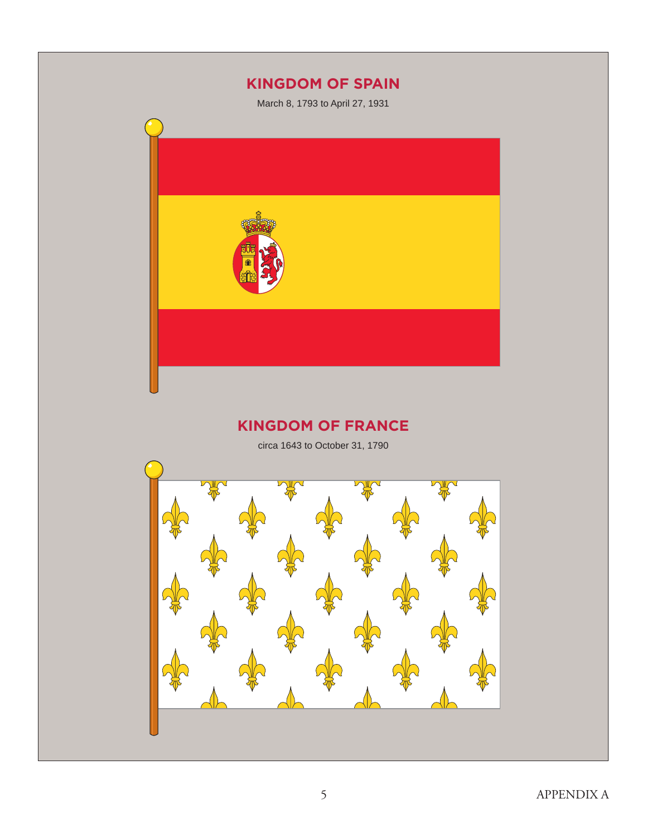# **KINGDOM OF SPAIN**

March 8, 1793 to April 27, 1931



# **KINGDOM OF FRANCE**

circa 1643 to October 31, 1790

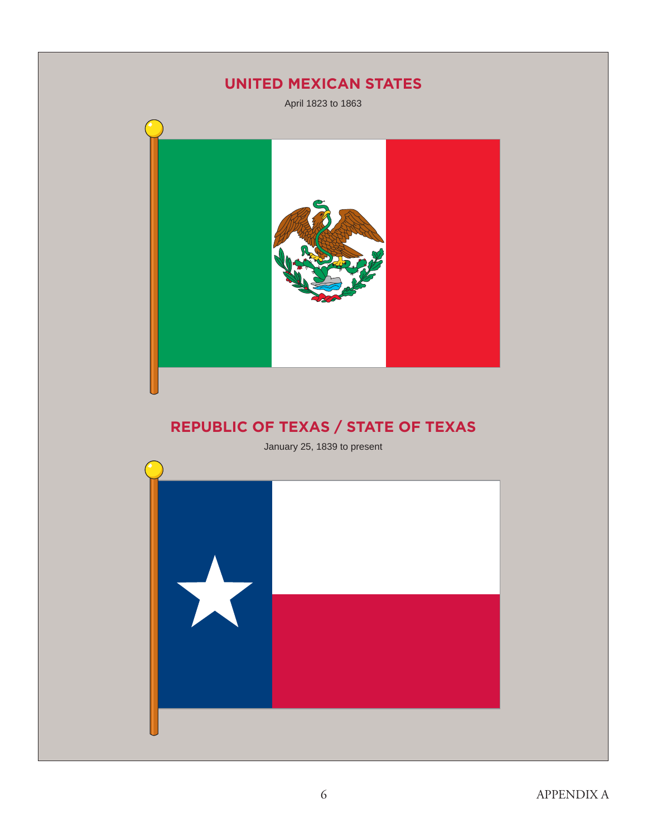# **UNITED MEXICAN STATES**

April 1823 to 1863



# **REPUBLIC OF TEXAS / STATE OF TEXAS**

January 25, 1839 to present